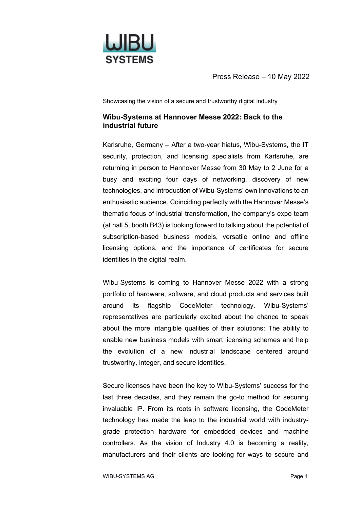

Showcasing the vision of a secure and trustworthy digital industry

## **Wibu-Systems at Hannover Messe 2022: Back to the industrial future**

Karlsruhe, Germany – After a two-year hiatus, Wibu-Systems, the IT security, protection, and licensing specialists from Karlsruhe, are returning in person to Hannover Messe from 30 May to 2 June for a busy and exciting four days of networking, discovery of new technologies, and introduction of Wibu-Systems' own innovations to an enthusiastic audience. Coinciding perfectly with the Hannover Messe's thematic focus of industrial transformation, the company's expo team (at hall 5, booth B43) is looking forward to talking about the potential of subscription-based business models, versatile online and offline licensing options, and the importance of certificates for secure identities in the digital realm.

Wibu-Systems is coming to Hannover Messe 2022 with a strong portfolio of hardware, software, and cloud products and services built around its flagship CodeMeter technology. Wibu-Systems' representatives are particularly excited about the chance to speak about the more intangible qualities of their solutions: The ability to enable new business models with smart licensing schemes and help the evolution of a new industrial landscape centered around trustworthy, integer, and secure identities.

Secure licenses have been the key to Wibu-Systems' success for the last three decades, and they remain the go-to method for securing invaluable IP. From its roots in software licensing, the CodeMeter technology has made the leap to the industrial world with industrygrade protection hardware for embedded devices and machine controllers. As the vision of Industry 4.0 is becoming a reality, manufacturers and their clients are looking for ways to secure and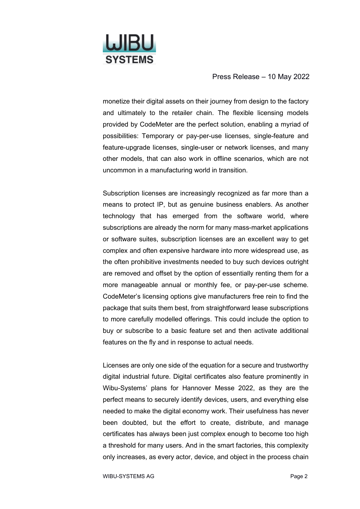

monetize their digital assets on their journey from design to the factory and ultimately to the retailer chain. The flexible licensing models provided by CodeMeter are the perfect solution, enabling a myriad of possibilities: Temporary or pay-per-use licenses, single-feature and feature-upgrade licenses, single-user or network licenses, and many other models, that can also work in offline scenarios, which are not uncommon in a manufacturing world in transition.

Subscription licenses are increasingly recognized as far more than a means to protect IP, but as genuine business enablers. As another technology that has emerged from the software world, where subscriptions are already the norm for many mass-market applications or software suites, subscription licenses are an excellent way to get complex and often expensive hardware into more widespread use, as the often prohibitive investments needed to buy such devices outright are removed and offset by the option of essentially renting them for a more manageable annual or monthly fee, or pay-per-use scheme. CodeMeter's licensing options give manufacturers free rein to find the package that suits them best, from straightforward lease subscriptions to more carefully modelled offerings. This could include the option to buy or subscribe to a basic feature set and then activate additional features on the fly and in response to actual needs.

Licenses are only one side of the equation for a secure and trustworthy digital industrial future. Digital certificates also feature prominently in Wibu-Systems' plans for Hannover Messe 2022, as they are the perfect means to securely identify devices, users, and everything else needed to make the digital economy work. Their usefulness has never been doubted, but the effort to create, distribute, and manage certificates has always been just complex enough to become too high a threshold for many users. And in the smart factories, this complexity only increases, as every actor, device, and object in the process chain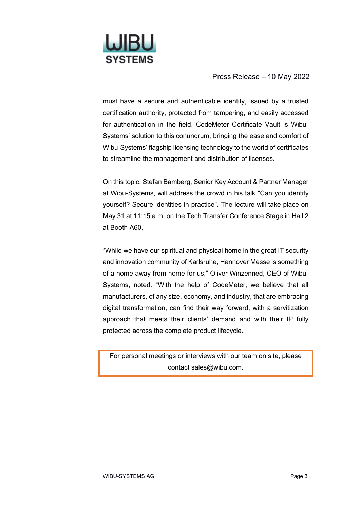

must have a secure and authenticable identity, issued by a trusted certification authority, protected from tampering, and easily accessed for authentication in the field. CodeMeter Certificate Vault is Wibu-Systems' solution to this conundrum, bringing the ease and comfort of Wibu-Systems' flagship licensing technology to the world of certificates to streamline the management and distribution of licenses.

On this topic, Stefan Bamberg, Senior Key Account & Partner Manager at Wibu-Systems, will address the crowd in his talk "Can you identify yourself? Secure identities in practice". The lecture will take place on May 31 at 11:15 a.m. on the Tech Transfer Conference Stage in Hall 2 at Booth A60.

"While we have our spiritual and physical home in the great IT security and innovation community of Karlsruhe, Hannover Messe is something of a home away from home for us," Oliver Winzenried, CEO of Wibu-Systems, noted. "With the help of CodeMeter, we believe that all manufacturers, of any size, economy, and industry, that are embracing digital transformation, can find their way forward, with a servitization approach that meets their clients' demand and with their IP fully protected across the complete product lifecycle."

For personal meetings or interviews with our team on site, please contact sales@wibu.com.